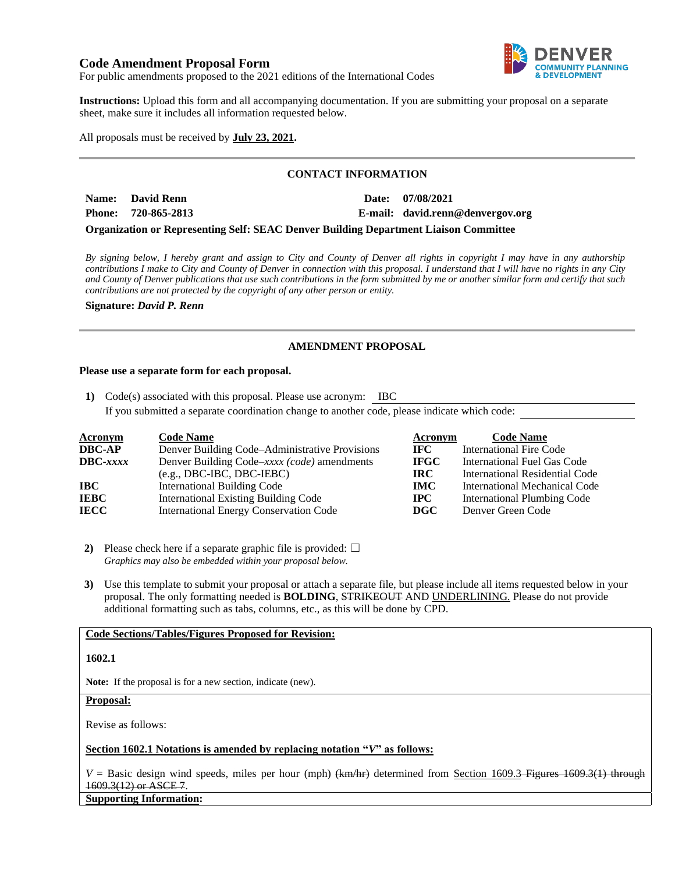# **Code Amendment Proposal Form**



For public amendments proposed to the 2021 editions of the International Codes

**Instructions:** Upload this form and all accompanying documentation. If you are submitting your proposal on a separate sheet, make sure it includes all information requested below.

All proposals must be received by **July 23, 2021.**

### **CONTACT INFORMATION**

| Name: David Renn    |  | Date: 07/08/2021                 |
|---------------------|--|----------------------------------|
| Phone: 720-865-2813 |  | E-mail: david.renn@denvergov.org |
|                     |  |                                  |

**Organization or Representing Self: SEAC Denver Building Department Liaison Committee**

*By signing below, I hereby grant and assign to City and County of Denver all rights in copyright I may have in any authorship contributions I make to City and County of Denver in connection with this proposal. I understand that I will have no rights in any City and County of Denver publications that use such contributions in the form submitted by me or another similar form and certify that such contributions are not protected by the copyright of any other person or entity.* 

**Signature:** *David P. Renn*

## **AMENDMENT PROPOSAL**

#### **Please use a separate form for each proposal.**

**1)** Code(s) associated with this proposal. Please use acronym: IBC

If you submitted a separate coordination change to another code, please indicate which code:

| <b>Acronym</b>    | <b>Code Name</b>                               | Acronym      | <b>Code Name</b>               |
|-------------------|------------------------------------------------|--------------|--------------------------------|
| <b>DBC-AP</b>     | Denver Building Code–Administrative Provisions | IFC -        | International Fire Code        |
| $\text{DBC}-xxxx$ | Denver Building Code–xxxx (code) amendments    | <b>IFGC</b>  | International Fuel Gas Code    |
|                   | $(e.g., DBC-IBC, DBC-IEBC)$                    | IRC-         | International Residential Code |
| IBC               | <b>International Building Code</b>             | <b>IMC</b>   | International Mechanical Code  |
| <b>IEBC</b>       | <b>International Existing Building Code</b>    | $_{\rm IPC}$ | International Plumbing Code    |
| <b>IECC</b>       | <b>International Energy Conservation Code</b>  | <b>DGC</b>   | Denver Green Code              |

**2)** Please check here if a separate graphic file is provided:  $\Box$ *Graphics may also be embedded within your proposal below.*

**3)** Use this template to submit your proposal or attach a separate file, but please include all items requested below in your proposal. The only formatting needed is **BOLDING**, STRIKEOUT AND UNDERLINING. Please do not provide additional formatting such as tabs, columns, etc., as this will be done by CPD.

## **Code Sections/Tables/Figures Proposed for Revision:**

#### **1602.1**

**Note:** If the proposal is for a new section, indicate (new).

#### **Proposal:**

Revise as follows:

### **Section 1602.1 Notations is amended by replacing notation "***V***" as follows:**

 $V =$  Basic design wind speeds, miles per hour (mph)  $(km/m + 1)$  determined from Section 1609.3–Figures 1609.3(1) through 1609.3(12) or ASCE 7.

**Supporting Information:**